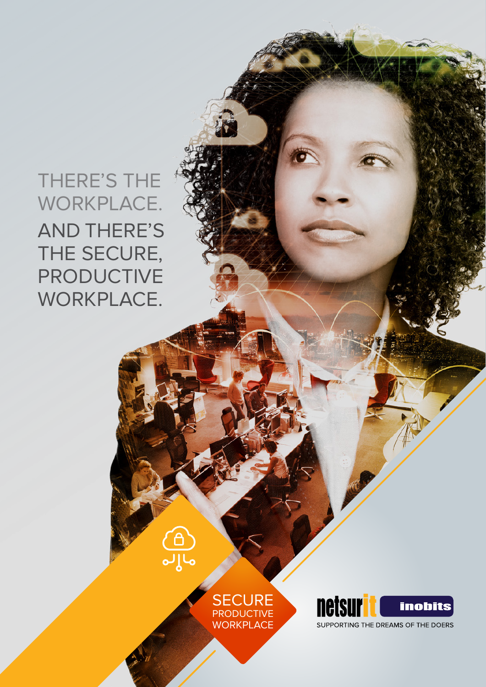THERE'S THE WORKPLACE. AND THERE'S THE SECURE, PRODUCTIVE WORKPLACE.



தி<br>தி



A

SUPPORTING THE DREAMS OF THE DOERS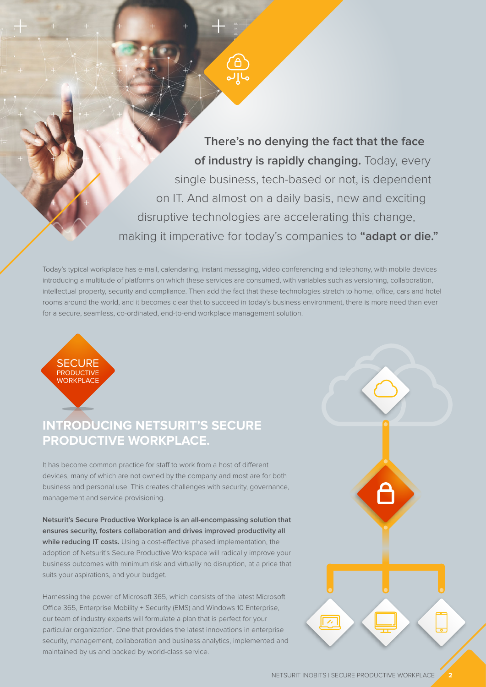**There's no denying the fact that the face of industry is rapidly changing.** Today, every single business, tech-based or not, is dependent on IT. And almost on a daily basis, new and exciting disruptive technologies are accelerating this change, making it imperative for today's companies to **"adapt or die."**

Today's typical workplace has e-mail, calendaring, instant messaging, video conferencing and telephony, with mobile devices introducing a multitude of platforms on which these services are consumed, with variables such as versioning, collaboration, intellectual property, security and compliance. Then add the fact that these technologies stretch to home, office, cars and hotel rooms around the world, and it becomes clear that to succeed in today's business environment, there is more need than ever for a secure, seamless, co-ordinated, end-to-end workplace management solution.



# **PRODUCTIVE WORKPLACE. INTRODUCING NETSURIT'S SECURE**

It has become common practice for staff to work from a host of different devices, many of which are not owned by the company and most are for both business and personal use. This creates challenges with security, governance, management and service provisioning.

**Netsurit's Secure Productive Workplace is an all-encompassing solution that ensures security, fosters collaboration and drives improved productivity all while reducing IT costs.** Using a cost-effective phased implementation, the adoption of Netsurit's Secure Productive Workspace will radically improve your business outcomes with minimum risk and virtually no disruption, at a price that suits your aspirations, and your budget.

Harnessing the power of Microsoft 365, which consists of the latest Microsoft Office 365, Enterprise Mobility + Security (EMS) and Windows 10 Enterprise, our team of industry experts will formulate a plan that is perfect for your particular organization. One that provides the latest innovations in enterprise security, management, collaboration and business analytics, implemented and maintained by us and backed by world-class service.